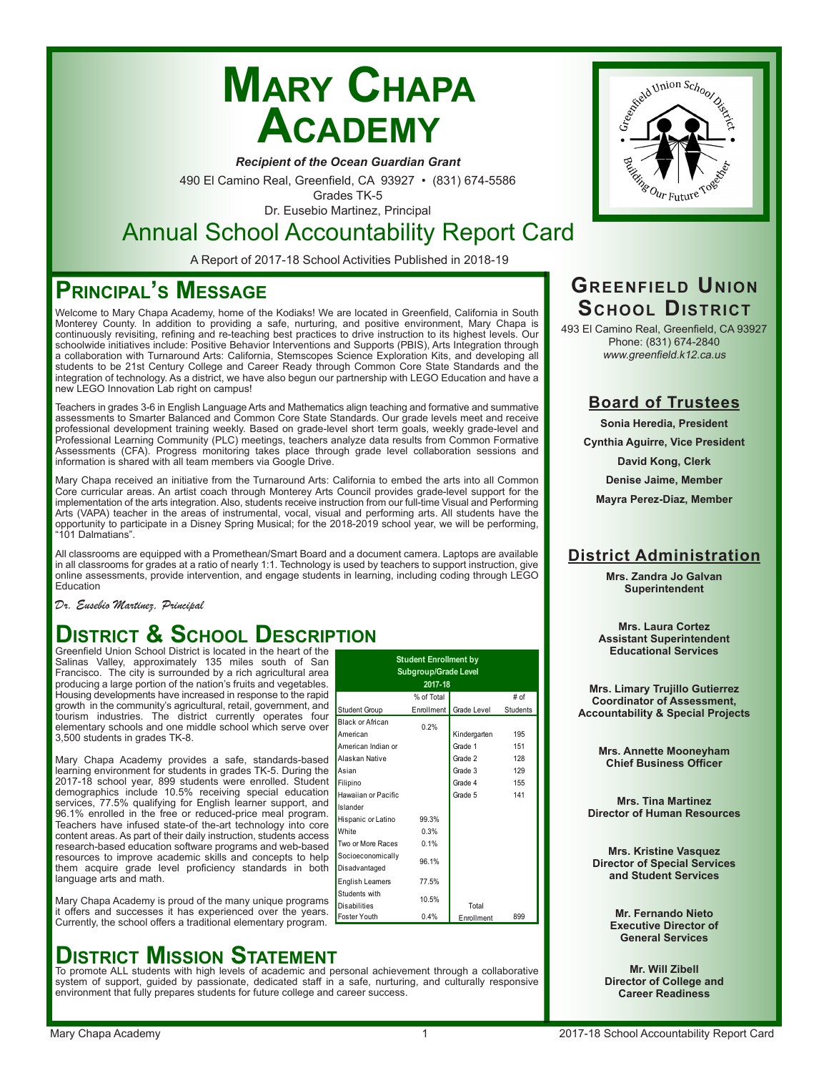# **Mary Chapa Academy**

*Recipient of the Ocean Guardian Grant*

490 El Camino Real, Greenfield, CA 93927 • (831) 674-5586

Grades TK-5 Dr. Eusebio Martinez, Principal

### Annual School Accountability Report Card

A Report of 2017-18 School Activities Published in 2018-19

### **Principal's Message**

Welcome to Mary Chapa Academy, home of the Kodiaks! We are located in Greenfield, California in South Monterey County. In addition to providing a safe, nurturing, and positive environment, Mary Chapa is continuously revisiting, refining and re-teaching best practices to drive instruction to its highest levels. Our schoolwide initiatives include: Positive Behavior Interventions and Supports (PBIS), Arts Integration through a collaboration with Turnaround Arts: California, Stemscopes Science Exploration Kits, and developing all students to be 21st Century College and Career Ready through Common Core State Standards and the integration of technology. As a district, we have also begun our partnership with LEGO Education and have a new LEGO Innovation Lab right on campus!

Teachers in grades 3-6 in English Language Arts and Mathematics align teaching and formative and summative assessments to Smarter Balanced and Common Core State Standards. Our grade levels meet and receive professional development training weekly. Based on grade-level short term goals, weekly grade-level and Professional Learning Community (PLC) meetings, teachers analyze data results from Common Formative Assessments (CFA). Progress monitoring takes place through grade level collaboration sessions and information is shared with all team members via Google Drive.

Mary Chapa received an initiative from the Turnaround Arts: California to embed the arts into all Common Core curricular areas. An artist coach through Monterey Arts Council provides grade-level support for the implementation of the arts integration. Also, students receive instruction from our full-time Visual and Performing Arts (VAPA) teacher in the areas of instrumental, vocal, visual and performing arts. All students have the opportunity to participate in a Disney Spring Musical; for the 2018-2019 school year, we will be performing, 101 Dalmatians".

All classrooms are equipped with a Promethean/Smart Board and a document camera. Laptops are available in all classrooms for grades at a ratio of nearly 1:1. Technology is used by teachers to support instruction, give online assessments, provide intervention, and engage students in learning, including coding through LEGO Education

Student Group

Students with

Black or African

Hawaiian or Pacific Islander

American Indian or Alaskan Native

Hispanic or Latino 99.3% White 0.3% Two or More Races 0.1% Socioeconomically Socioeconomically 96.1%<br>Disadvantaged English Learners 77.5%

Students with the 10.5%<br>Disabilities

% of Total Enrollment | Grade Level

**2017-18**

**Student Enrollment by Subgroup/Grade Level**

American 0.2% Kindergarten <sup>195</sup>

Asian **Grade 3** 129 Filipino 155

# of **Students** 

Grade 1 151 Grade 2 128

Grade 5 141

Total Enrollment

*Dr. Eusebio Martinez, Principal*

### **District & School Description**

Greenfield Union School District is located in the heart of the Salinas Valley, approximately 135 miles south of San Francisco. The city is surrounded by a rich agricultural area producing a large portion of the nation's fruits and vegetables. Housing developments have increased in response to the rapid growth in the community's agricultural, retail, government, and tourism industries. The district currently operates four elementary schools and one middle school which serve over 3,500 students in grades TK-8.

Mary Chapa Academy provides a safe, standards-based learning environment for students in grades TK-5. During the 2017-18 school year, 899 students were enrolled. Student demographics include 10.5% receiving special education services, 77.5% qualifying for English learner support, and 96.1% enrolled in the free or reduced-price meal program. Teachers have infused state-of the-art technology into core content areas. As part of their daily instruction, students access research-based education software programs and web-based resources to improve academic skills and concepts to help them acquire grade level proficiency standards in both language arts and math.

Mary Chapa Academy is proud of the many unique programs it offers and successes it has experienced over the years. Currently, the school offers a traditional elementary program.

## **DISTRICT MISSION STATEMENT**<br>To promote ALL students with high levels of academic and personal achievement through a collaborative

system of support, guided by passionate, dedicated staff in a safe, nurturing, and culturally responsive environment that fully prepares students for future college and career success.



### **Greenfield Union School District**

493 El Camino Real, Greenfield, CA 93927 Phone: (831) 674-2840 www.greenfield.k12.ca.us

#### **Board of Trustees**

**Sonia Heredia, President**

**Cynthia Aguirre, Vice President**

**David Kong, Clerk**

**Denise Jaime, Member**

**Mayra Perez-Diaz, Member**

### **District Administration**

**Mrs. Zandra Jo Galvan Superintendent**

**Mrs. Laura Cortez Assistant Superintendent Educational Services**

**Mrs. Limary Trujillo Gutierrez Coordinator of Assessment, Accountability & Special Projects**

> **Mrs. Annette Mooneyham Chief Business Officer**

**Mrs. Tina Martinez Director of Human Resources**

**Mrs. Kristine Vasquez Director of Special Services and Student Services**

> **Mr. Fernando Nieto Executive Director of General Services**

**Mr. Will Zibell Director of College and Career Readiness**

Foster Youth 0.4% Enrollment 899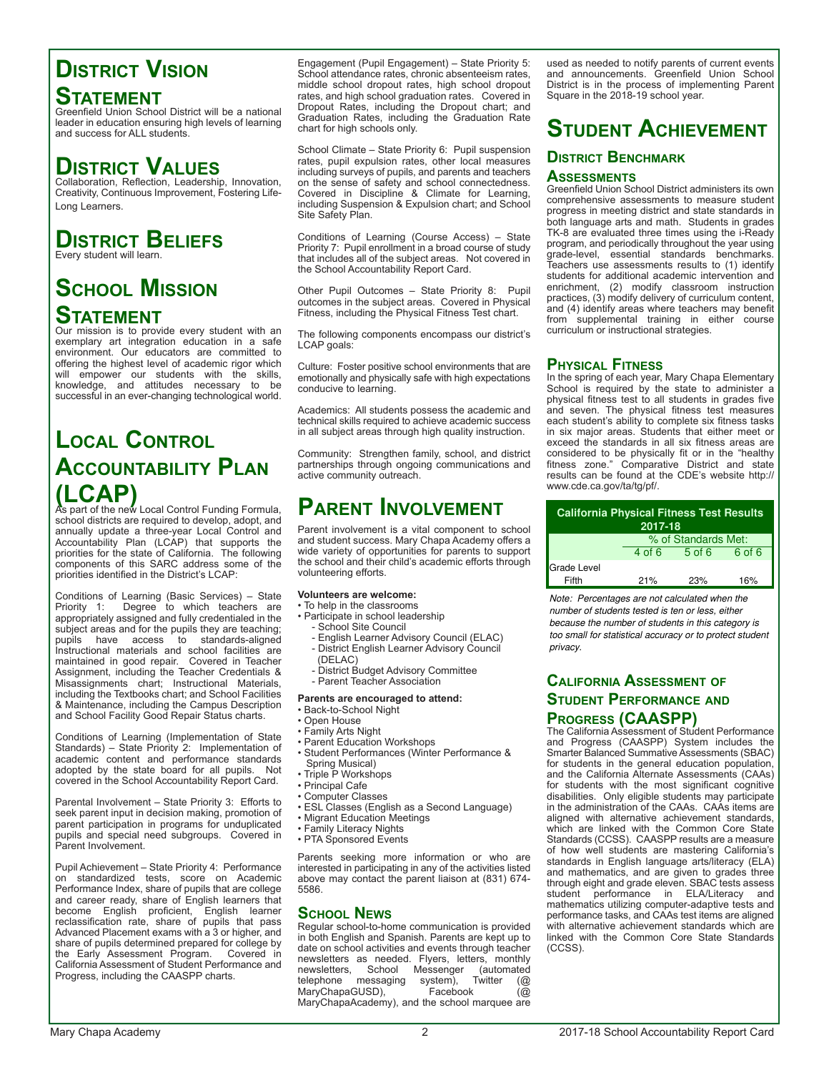### **District Vision Statement**

Greenfield Union School District will be a national leader in education ensuring high levels of learning and success for ALL students.

### **District Values**

Collaboration, Reflection, Leadership, Innovation, Creativity, Continuous Improvement, Fostering Life-Long Learners.

### **District Beliefs**

Every student will learn.

### **School Mission Statement**

Our mission is to provide every student with an exemplary art integration education in a safe environment. Our educators are committed to offering the highest level of academic rigor which will empower our students with the skills, knowledge, and attitudes necessary to be successful in an ever-changing technological world.

### **Local Control Accountability Plan (LCAP)** As part of the new Local Control Funding Formula,

school districts are required to develop, adopt, and annually update a three-year Local Control and Accountability Plan (LCAP) that supports the priorities for the state of California. The following components of this SARC address some of the priorities identified in the District's LCAP:

Conditions of Learning (Basic Services) – State Priority 1: Degree to which teachers are appropriately assigned and fully credentialed in the subject areas and for the pupils they are teaching; pupils have access to standards-aligned Instructional materials and school facilities are maintained in good repair. Covered in Teacher Assignment, including the Teacher Credentials & Misassignments chart; Instructional Materials, including the Textbooks chart; and School Facilities & Maintenance, including the Campus Description and School Facility Good Repair Status charts.

Conditions of Learning (Implementation of State Standards) – State Priority 2: Implementation of academic content and performance standards adopted by the state board for all pupils. Not covered in the School Accountability Report Card.

Parental Involvement – State Priority 3: Efforts to seek parent input in decision making, promotion of parent participation in programs for unduplicated pupils and special need subgroups. Covered in Parent Involvement.

Pupil Achievement – State Priority 4: Performance on standardized tests, score on Academic Performance Index, share of pupils that are college and career ready, share of English learners that become English proficient, English learner reclassification rate, share of pupils that pass Advanced Placement exams with a 3 or higher, and share of pupils determined prepared for college by the Early Assessment Program. Covered in California Assessment of Student Performance and Progress, including the CAASPP charts.

Engagement (Pupil Engagement) – State Priority 5: School attendance rates, chronic absenteeism rates, middle school dropout rates, high school dropout rates, and high school graduation rates. Covered in Dropout Rates, including the Dropout chart; and Graduation Rates, including the Graduation Rate chart for high schools only.

School Climate – State Priority 6: Pupil suspension rates, pupil expulsion rates, other local measures including surveys of pupils, and parents and teachers on the sense of safety and school connectedness. Covered in Discipline & Climate for Learning, including Suspension & Expulsion chart; and School Site Safety Plan.

Conditions of Learning (Course Access) – State Priority 7: Pupil enrollment in a broad course of study that includes all of the subject areas. Not covered in the School Accountability Report Card.

Other Pupil Outcomes – State Priority 8: Pupil outcomes in the subject areas. Covered in Physical Fitness, including the Physical Fitness Test chart.

The following components encompass our district's LCAP goals:

Culture: Foster positive school environments that are emotionally and physically safe with high expectations conducive to learning.

Academics: All students possess the academic and technical skills required to achieve academic success in all subject areas through high quality instruction.

Community: Strengthen family, school, and district partnerships through ongoing communications and active community outreach.

### **Parent Involvement**

Parent involvement is a vital component to school and student success. Mary Chapa Academy offers a wide variety of opportunities for parents to support the school and their child's academic efforts through volunteering efforts.

#### **Volunteers are welcome:**

- To help in the classrooms
- Participate in school leadership
- School Site Council
- English Learner Advisory Council (ELAC) - District English Learner Advisory Council
- (DELAC)
- District Budget Advisory Committee
	- Parent Teacher Association

#### **Parents are encouraged to attend:**

- Back-to-School Night
- Open House
- Family Arts Night
- Parent Education Workshops
- Student Performances (Winter Performance &
- Spring Musical)
- Triple P Workshops
- Principal Cafe
- Computer Classes • ESL Classes (English as a Second Language)
- Migrant Education Meetings
- Family Literacy Nights
- PTA Sponsored Events

Parents seeking more information or who are interested in participating in any of the activities listed above may contact the parent liaison at (831) 674- 5586.

#### **School News**

Regular school-to-home communication is provided in both English and Spanish. Parents are kept up to date on school activities and events through teacher newsletters as needed. Flyers, letters, monthly newsletters, School Messenger (automated<br>telephone messaging system), Twitter (@ telephone messaging system), 1<br>GUSD), Facebook roiphone missed,<br>MaryChapaGUSD), MaryChapaAcademy), and the school marquee are

used as needed to notify parents of current events and announcements. Greenfield Union School District is in the process of implementing Parent Square in the 2018-19 school year.

### **Student Achievement**

#### **District Benchmark Assessments**

Greenfield Union School District administers its own comprehensive assessments to measure student progress in meeting district and state standards in both language arts and math. Students in grades TK-8 are evaluated three times using the i-Ready program, and periodically throughout the year using grade-level, essential standards benchmarks. Teachers use assessments results to (1) identify students for additional academic intervention and enrichment, (2) modify classroom instruction practices, (3) modify delivery of curriculum content, and (4) identify areas where teachers may benefit

from supplemental training in either course

#### **Physical Fitness**

curriculum or instructional strategies.

In the spring of each year, Mary Chapa Elementary School is required by the state to administer a physical fitness test to all students in grades five and seven. The physical fitness test measures each student's ability to complete six fitness tasks in six major areas. Students that either meet or exceed the standards in all six fitness areas are considered to be physically fit or in the "healthy fitness zone." Comparative District and state results can be found at the CDE's website http:// www.cde.ca.gov/ta/tg/pf/.

| <b>California Physical Fitness Test Results</b> | 2017-18  |                     |        |
|-------------------------------------------------|----------|---------------------|--------|
|                                                 |          | % of Standards Met: |        |
|                                                 | $4$ of 6 | $5$ of 6            | 6 of 6 |
| Grade Level                                     |          |                     |        |
| Fifth                                           | 21%      | 23%                 | 16%    |

Note: Percentages are not calculated when the number of students tested is ten or less, either because the number of students in this category is too small for statistical accuracy or to protect student privacy.

#### **California Assessment of Student Performance and Progress (CAASPP)**

The California Assessment of Student Performance and Progress (CAASPP) System includes the Smarter Balanced Summative Assessments (SBAC) for students in the general education population, and the California Alternate Assessments (CAAs) for students with the most significant cognitive disabilities. Only eligible students may participate in the administration of the CAAs. CAAs items are aligned with alternative achievement standards, which are linked with the Common Core State Standards (CCSS). CAASPP results are a measure of how well students are mastering California's standards in English language arts/literacy (ELA) and mathematics, and are given to grades three through eight and grade eleven. SBAC tests assess student performance in ELA/Literacy and mathematics utilizing computer-adaptive tests and performance tasks, and CAAs test items are aligned with alternative achievement standards which are linked with the Common Core State Standards (CCSS).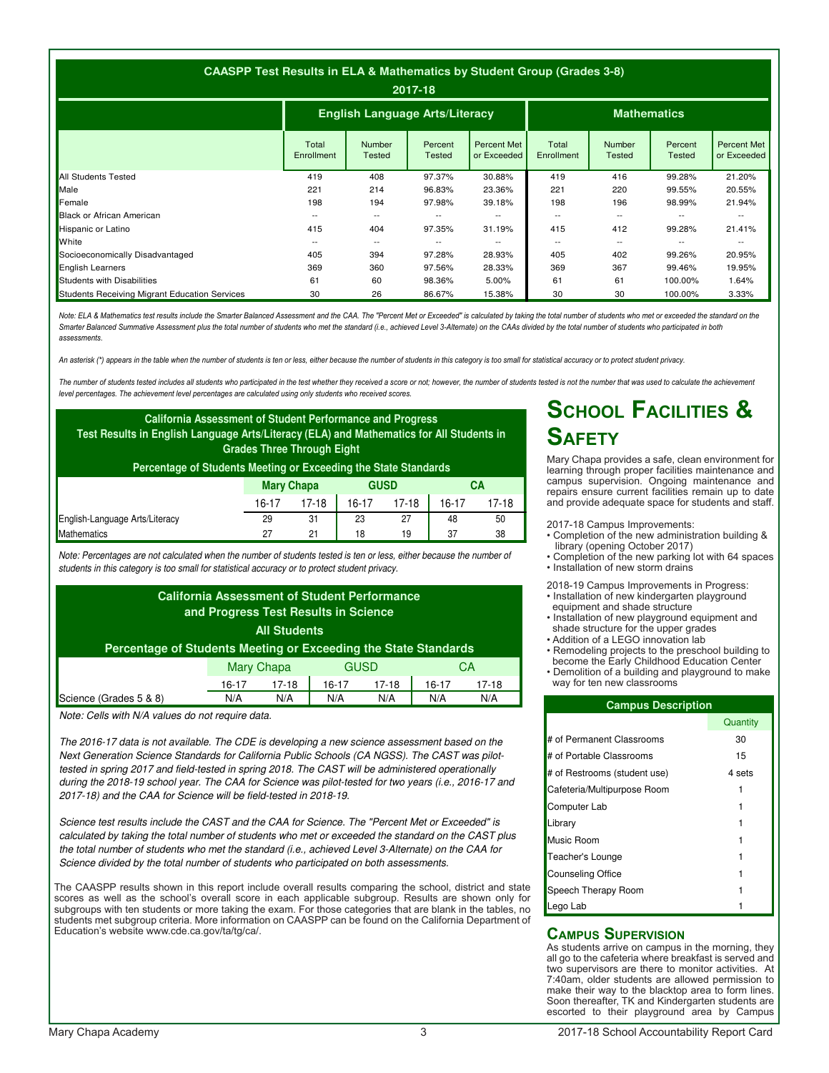|                                               | CAASPP Test Results in ELA & Mathematics by Student Group (Grades 3-8) |                                                             | 2017-18                  |                                   |                     |                         |                          |                                   |
|-----------------------------------------------|------------------------------------------------------------------------|-------------------------------------------------------------|--------------------------|-----------------------------------|---------------------|-------------------------|--------------------------|-----------------------------------|
|                                               |                                                                        | <b>English Language Arts/Literacy</b><br><b>Mathematics</b> |                          |                                   |                     |                         |                          |                                   |
|                                               | Total<br>Enrollment                                                    | Number<br><b>Tested</b>                                     | Percent<br><b>Tested</b> | <b>Percent Met</b><br>or Exceeded | Total<br>Enrollment | <b>Number</b><br>Tested | Percent<br><b>Tested</b> | <b>Percent Met</b><br>or Exceeded |
| <b>All Students Tested</b>                    | 419                                                                    | 408                                                         | 97.37%                   | 30.88%                            | 419                 | 416                     | 99.28%                   | 21.20%                            |
| Male                                          | 221                                                                    | 214                                                         | 96.83%                   | 23.36%                            | 221                 | 220                     | 99.55%                   | 20.55%                            |
| Female                                        | 198                                                                    | 194                                                         | 97.98%                   | 39.18%                            | 198                 | 196                     | 98.99%                   | 21.94%                            |
| <b>Black or African American</b>              | --                                                                     | $\overline{\phantom{a}}$                                    | --                       | $- -$                             | $\sim$ $\sim$       | --                      |                          | --                                |
| <b>Hispanic or Latino</b>                     | 415                                                                    | 404                                                         | 97.35%                   | 31.19%                            | 415                 | 412                     | 99.28%                   | 21.41%                            |
| <b>White</b>                                  | $- -$                                                                  | $\overline{\phantom{a}}$                                    | $- -$                    | $- -$                             | $- -$               | $- -$                   |                          | $\overline{\phantom{a}}$          |
| Socioeconomically Disadvantaged               | 405                                                                    | 394                                                         | 97.28%                   | 28.93%                            | 405                 | 402                     | 99.26%                   | 20.95%                            |
| <b>English Learners</b>                       | 369                                                                    | 360                                                         | 97.56%                   | 28.33%                            | 369                 | 367                     | 99.46%                   | 19.95%                            |
| Students with Disabilities                    | 61                                                                     | 60                                                          | 98.36%                   | 5.00%                             | 61                  | 61                      | 100.00%                  | 1.64%                             |
| Students Receiving Migrant Education Services | 30                                                                     | 26                                                          | 86.67%                   | 15.38%                            | 30                  | 30                      | 100.00%                  | 3.33%                             |

Note: ELA & Mathematics test results include the Smarter Balanced Assessment and the CAA. The "Percent Met or Exceeded" is calculated by taking the total number of students who met or exceeded the standard on the Smarter Balanced Summative Assessment plus the total number of students who met the standard (i.e., achieved Level 3-Alternate) on the CAAs divided by the total number of students who participated in both assessments.

An asterisk (\*) appears in the table when the number of students is ten or less, either because the number of students in this category is too small for statistical accuracy or to protect student privacy

The number of students tested includes all students who participated in the test whether they received a score or not; however, the number of students tested is not the number that was used to calculate the achievement level percentages. The achievement level percentages are calculated using only students who received scores.

| <b>California Assessment of Student Performance and Progress</b><br>Test Results in English Language Arts/Literacy (ELA) and Mathematics for All Students in<br>Percentage of Students Meeting or Exceeding the State Standards | <b>Grades Three Through Eight</b>                        |                   |    |             |    |    |
|---------------------------------------------------------------------------------------------------------------------------------------------------------------------------------------------------------------------------------|----------------------------------------------------------|-------------------|----|-------------|----|----|
|                                                                                                                                                                                                                                 |                                                          | <b>Mary Chapa</b> |    | <b>GUSD</b> |    | CА |
|                                                                                                                                                                                                                                 | $17-18$<br>$16-17$<br>16-17<br>$17-18$<br>17-18<br>16-17 |                   |    |             |    |    |
| English-Language Arts/Literacy                                                                                                                                                                                                  | 29                                                       | 31                | 23 | 27          | 48 | 50 |
| Mathematics                                                                                                                                                                                                                     | 27                                                       | 21                | 18 | 19          | 37 | 38 |

Note: Percentages are not calculated when the number of students tested is ten or less, either because the number of students in this category is too small for statistical accuracy or to protect student privacy.

|                                                                 |                   | <b>All Students</b> | <b>California Assessment of Student Performance</b><br>and Progress Test Results in Science |         |       |         |
|-----------------------------------------------------------------|-------------------|---------------------|---------------------------------------------------------------------------------------------|---------|-------|---------|
| Percentage of Students Meeting or Exceeding the State Standards |                   |                     |                                                                                             |         |       |         |
|                                                                 | <b>Mary Chapa</b> |                     | <b>GUSD</b>                                                                                 |         |       | CA      |
|                                                                 | 16-17             | $17-18$             | 16-17                                                                                       | $17-18$ | 16-17 | $17-18$ |
| Science (Grades 5 & 8)                                          | N/A               | N/A                 | N/A                                                                                         | N/A     | N/A   | N/A     |

Note: Cells with N/A values do not require data.

The 2016-17 data is not available. The CDE is developing a new science assessment based on the Next Generation Science Standards for California Public Schools (CA NGSS). The CAST was pilottested in spring 2017 and field-tested in spring 2018. The CAST will be administered operationally during the 2018-19 school year. The CAA for Science was pilot-tested for two years (i.e., 2016-17 and 2017-18) and the CAA for Science will be field-tested in 2018-19.

Science test results include the CAST and the CAA for Science. The "Percent Met or Exceeded" is calculated by taking the total number of students who met or exceeded the standard on the CAST plus the total number of students who met the standard (i.e., achieved Level 3-Alternate) on the CAA for Science divided by the total number of students who participated on both assessments.

The CAASPP results shown in this report include overall results comparing the school, district and state scores as well as the school's overall score in each applicable subgroup. Results are shown only for subgroups with ten students or more taking the exam. For those categories that are blank in the tables, no students met subgroup criteria. More information on CAASPP can be found on the California Department of Education's website www.cde.ca.gov/ta/tg/ca/.

### **School Facilities & Safety**

Mary Chapa provides a safe, clean environment for learning through proper facilities maintenance and campus supervision. Ongoing maintenance and repairs ensure current facilities remain up to date and provide adequate space for students and staff.

2017-18 Campus Improvements:

- Completion of the new administration building & library (opening October 2017)
- Completion of the new parking lot with 64 spaces • Installation of new storm drains

2018-19 Campus Improvements in Progress:

- Installation of new kindergarten playground equipment and shade structure
- Installation of new playground equipment and shade structure for the upper grades
- Addition of a LEGO innovation lab
- Remodeling projects to the preschool building to become the Early Childhood Education Center
- Demolition of a building and playground to make way for ten new classrooms

| <b>Campus Description</b>    |          |
|------------------------------|----------|
|                              | Quantity |
| # of Permanent Classrooms    | 30       |
| # of Portable Classrooms     | 15       |
| # of Restrooms (student use) | 4 sets   |
| Cafeteria/Multipurpose Room  |          |
| Computer Lab                 |          |
| Library                      |          |
| Music Room                   |          |
| Teacher's Lounge             |          |
| <b>Counseling Office</b>     |          |
| Speech Therapy Room          |          |
| Lego Lab                     |          |

#### **Campus Supervision**

As students arrive on campus in the morning, they all go to the cafeteria where breakfast is served and two supervisors are there to monitor activities. At 7:40am, older students are allowed permission to make their way to the blacktop area to form lines. Soon thereafter, TK and Kindergarten students are escorted to their playground area by Campus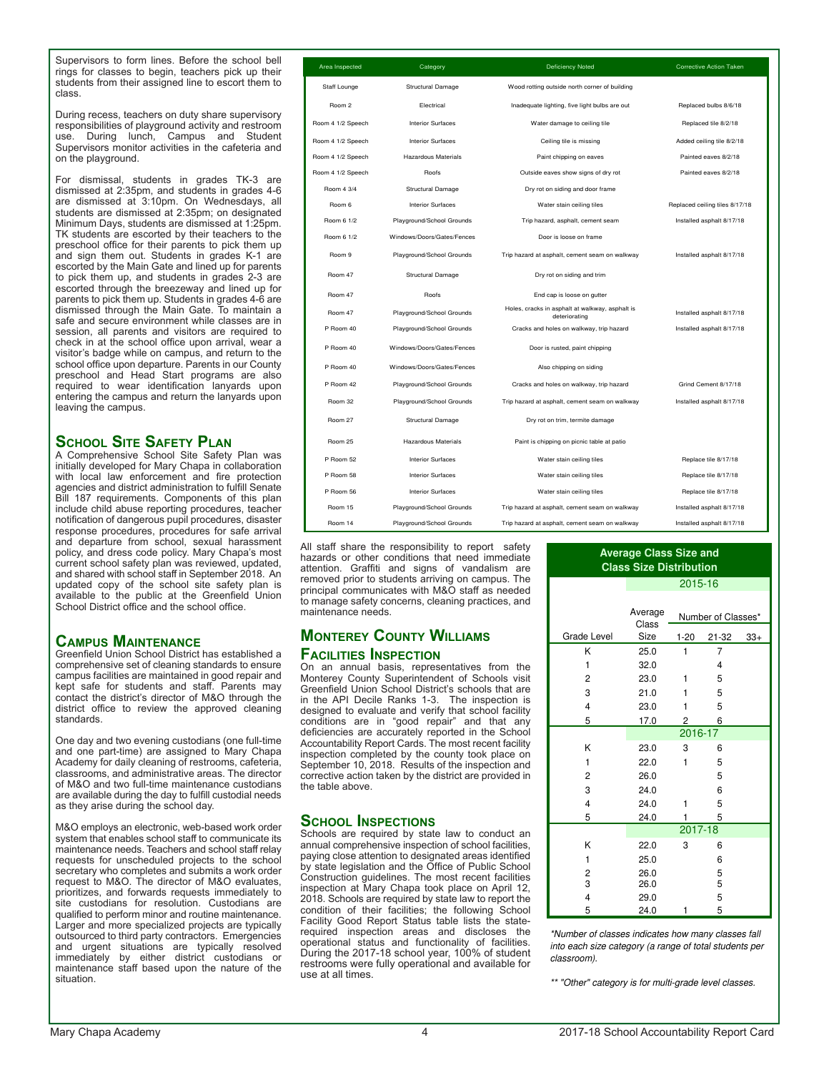Supervisors to form lines. Before the school bell rings for classes to begin, teachers pick up their students from their assigned line to escort them to class.

During recess, teachers on duty share supervisory responsibilities of playground activity and restroom use. During lunch, Campus and Student Supervisors monitor activities in the cafeteria and on the playground.

For dismissal, students in grades TK-3 are dismissed at 2:35pm, and students in grades 4-6 are dismissed at 3:10pm. On Wednesdays, all students are dismissed at 2:35pm; on designated Minimum Days, students are dismissed at 1:25pm. TK students are escorted by their teachers to the preschool office for their parents to pick them up and sign them out. Students in grades K-1 are escorted by the Main Gate and lined up for parents to pick them up, and students in grades 2-3 are escorted through the breezeway and lined up for parents to pick them up. Students in grades 4-6 are dismissed through the Main Gate. To maintain a safe and secure environment while classes are in session, all parents and visitors are required to check in at the school office upon arrival, wear a visitor's badge while on campus, and return to the school office upon departure. Parents in our County preschool and Head Start programs are also required to wear identification lanyards upon entering the campus and return the lanyards upon leaving the campus.

#### **School Site Safety Plan**

A Comprehensive School Site Safety Plan was initially developed for Mary Chapa in collaboration with local law enforcement and fire protection agencies and district administration to fulfill Senate Bill 187 requirements. Components of this plan include child abuse reporting procedures, teacher notification of dangerous pupil procedures, disaster response procedures, procedures for safe arrival and departure from school, sexual harassment policy, and dress code policy. Mary Chapa's most current school safety plan was reviewed, updated, and shared with school staff in September 2018. An updated copy of the school site safety plan is available to the public at the Greenfield Union School District office and the school office.

#### **Campus Maintenance**

Greenfield Union School District has established a comprehensive set of cleaning standards to ensure campus facilities are maintained in good repair and kept safe for students and staff. Parents may contact the district's director of M&O through the district office to review the approved cleaning standards.

One day and two evening custodians (one full-time and one part-time) are assigned to Mary Chapa Academy for daily cleaning of restrooms, cafeteria, classrooms, and administrative areas. The director of M&O and two full-time maintenance custodians are available during the day to fulfill custodial needs as they arise during the school day.

M&O employs an electronic, web-based work order system that enables school staff to communicate its maintenance needs. Teachers and school staff relay requests for unscheduled projects to the school secretary who completes and submits a work order request to M&O. The director of M&O evaluates, prioritizes, and forwards requests immediately to site custodians for resolution. Custodians are qualified to perform minor and routine maintenance. Larger and more specialized projects are typically outsourced to third party contractors. Emergencies and urgent situations are typically resolved immediately by either district custodians or maintenance staff based upon the nature of the situation.

| Area Inspected    | Category                   | Deficiency Noted                                                 | <b>Corrective Action Taken</b> |
|-------------------|----------------------------|------------------------------------------------------------------|--------------------------------|
| Staff Lounge      | Structural Damage          | Wood rotting outside north corner of building                    |                                |
| Room <sub>2</sub> | Electrical                 | Inadequate lighting, five light bulbs are out                    | Replaced bulbs 8/6/18          |
| Room 4 1/2 Speech | <b>Interior Surfaces</b>   | Water damage to ceiling tile                                     | Replaced tile 8/2/18           |
| Room 4 1/2 Speech | <b>Interior Surfaces</b>   | Ceiling tile is missing                                          | Added ceiling tile 8/2/18      |
| Room 4 1/2 Speech | <b>Hazardous Materials</b> | Paint chipping on eaves                                          | Painted eaves 8/2/18           |
| Room 4 1/2 Speech | Roofs                      | Outside eaves show signs of dry rot                              | Painted eaves 8/2/18           |
| Room 4 3/4        | Structural Damage          | Dry rot on siding and door frame                                 |                                |
| Room 6            | <b>Interior Surfaces</b>   | Water stain ceiling tiles                                        | Replaced ceiling tiles 8/17/18 |
| Room 6 1/2        | Playground/School Grounds  | Trip hazard, asphalt, cement seam                                | Installed asphalt 8/17/18      |
| Room 6 1/2        | Windows/Doors/Gates/Fences | Door is loose on frame                                           |                                |
| Boom 9            | Playground/School Grounds  | Trip hazard at asphalt, cement seam on walkway                   | Installed asphalt 8/17/18      |
| Room 47           | Structural Damage          | Dry rot on siding and trim                                       |                                |
| Room 47           | Roofs                      | End cap is loose on gutter                                       |                                |
| Room 47           | Playground/School Grounds  | Holes, cracks in asphalt at walkway, asphalt is<br>deteriorating | Installed asphalt 8/17/18      |
| P Room 40         | Playground/School Grounds  | Cracks and holes on walkway, trip hazard                         | Installed asphalt 8/17/18      |
| P Room 40         | Windows/Doors/Gates/Fences | Door is rusted, paint chipping                                   |                                |
| P Room 40         | Windows/Doors/Gates/Fences | Also chipping on siding                                          |                                |
| P Room 42         | Playground/School Grounds  | Cracks and holes on walkway, trip hazard                         | Grind Cement 8/17/18           |
| Room 32           | Playground/School Grounds  | Trip hazard at asphalt, cement seam on walkway                   | Installed asphalt 8/17/18      |
| Room 27           | Structural Damage          | Dry rot on trim, termite damage                                  |                                |
| Room 25           | <b>Hazardous Materials</b> | Paint is chipping on picnic table at patio                       |                                |
| P Room 52         | <b>Interior Surfaces</b>   | Water stain ceiling tiles                                        | Replace tile 8/17/18           |
| P Room 58         | <b>Interior Surfaces</b>   | Water stain ceiling tiles                                        | Replace tile 8/17/18           |
| P Room 56         | <b>Interior Surfaces</b>   | Water stain ceiling tiles                                        | Replace tile 8/17/18           |
| Room 15           | Playground/School Grounds  | Trip hazard at asphalt, cement seam on walkway                   | Installed asphalt 8/17/18      |
| Room 14           | Playground/School Grounds  | Trip hazard at asphalt, cement seam on walkway                   | Installed asphalt 8/17/18      |

All staff share the responsibility to report safety hazards or other conditions that need immediate attention. Graffiti and signs of vandalism are removed prior to students arriving on campus. The principal communicates with M&O staff as needed to manage safety concerns, cleaning practices, and maintenance needs.

#### **Monterey County Williams Facilities Inspection**

On an annual basis, representatives from the Monterey County Superintendent of Schools visit Greenfield Union School District's schools that are in the API Decile Ranks 1-3. The inspection is designed to evaluate and verify that school facility conditions are in "good repair" and that any deficiencies are accurately reported in the School Accountability Report Cards. The most recent facility inspection completed by the county took place on September 10, 2018. Results of the inspection and corrective action taken by the district are provided in the table above.

#### **School Inspections**

Schools are required by state law to conduct an annual comprehensive inspection of school facilities, paying close attention to designated areas identified by state legislation and the Office of Public School Construction guidelines. The most recent facilities inspection at Mary Chapa took place on April 12, 2018. Schools are required by state law to report the condition of their facilities; the following School Facility Good Report Status table lists the staterequired inspection areas and discloses the operational status and functionality of facilities. During the 2017-18 school year, 100% of student restrooms were fully operational and available for use at all times.

#### 2015-16 **Average Class Size and Class Size Distribution**

|               | Average |          |                    |       |
|---------------|---------|----------|--------------------|-------|
|               | Class   |          | Number of Classes* |       |
| Grade Level   | Size    | $1 - 20$ | 21-32              | $33+$ |
| Κ             | 25.0    | 1        | 7                  |       |
| 1             | 32.0    |          | 4                  |       |
| 2             | 23.0    | 1        | 5                  |       |
| 3             | 21.0    | 1        | 5                  |       |
| 4             | 23.0    | 1        | 5                  |       |
| 5             | 17.0    | 2        | 6                  |       |
|               |         | 2016-17  |                    |       |
| K             | 23.0    | 3        | 6                  |       |
| 1             | 22.0    | 1        | 5                  |       |
| 2             | 26.0    |          | 5                  |       |
| 3             | 24.0    |          | 6                  |       |
| 4             | 24.0    | 1        | 5                  |       |
| 5             | 24.0    | 1        | 5                  |       |
|               |         | 2017-18  |                    |       |
| K             | 22.0    | 3        | 6                  |       |
| 1             | 25.0    |          | 6                  |       |
| $\frac{2}{3}$ | 26.0    |          | 5                  |       |
|               | 26.0    |          | 5                  |       |
| 4             | 29.0    |          | 5                  |       |
| 5             | 24.0    | 1        | 5                  |       |

\*Number of classes indicates how many classes fall into each size category (a range of total students per classroom).

\*\* "Other" category is for multi-grade level classes.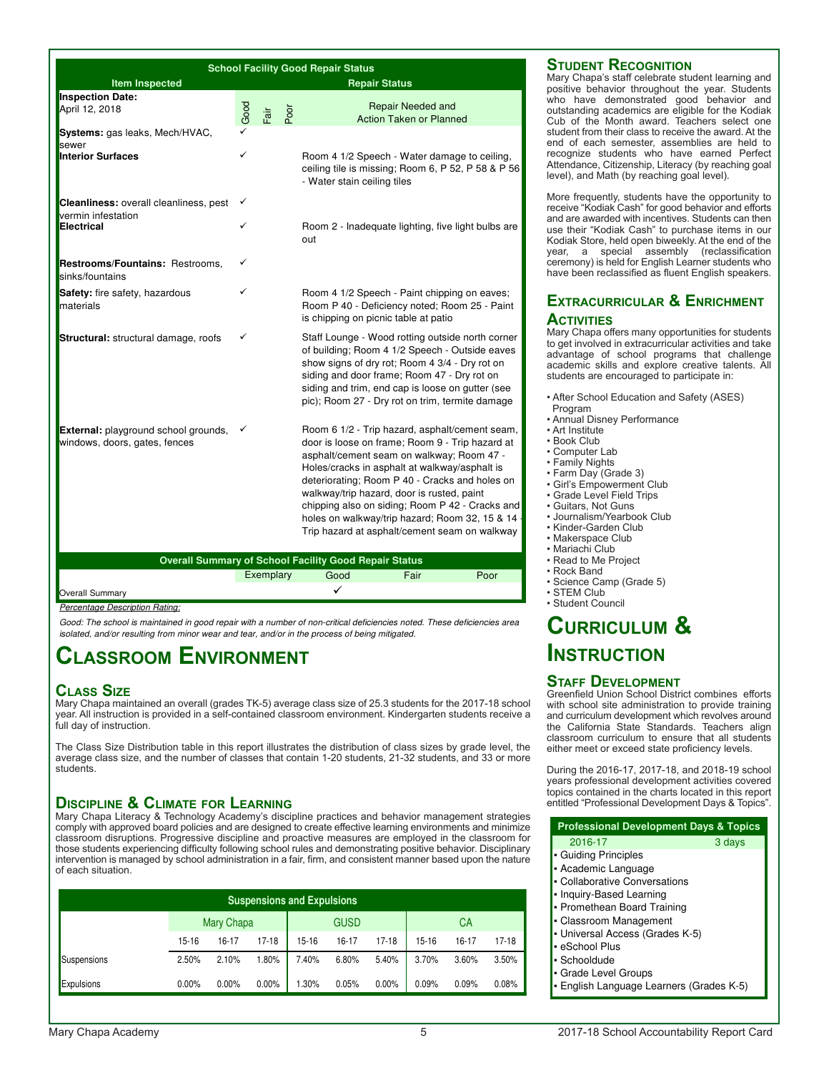| <b>School Facility Good Repair Status</b>                                    |             |           |      |                                                                                                                                                                                                                                                                                                                                                                                                                                                       |  |  |
|------------------------------------------------------------------------------|-------------|-----------|------|-------------------------------------------------------------------------------------------------------------------------------------------------------------------------------------------------------------------------------------------------------------------------------------------------------------------------------------------------------------------------------------------------------------------------------------------------------|--|--|
| <b>Item Inspected</b>                                                        |             |           |      | <b>Repair Status</b>                                                                                                                                                                                                                                                                                                                                                                                                                                  |  |  |
| <b>Inspection Date:</b><br>April 12, 2018                                    | $\sim$ Good | Fair      | Poor | <b>Repair Needed and</b><br><b>Action Taken or Planned</b>                                                                                                                                                                                                                                                                                                                                                                                            |  |  |
| Systems: gas leaks, Mech/HVAC,                                               |             |           |      |                                                                                                                                                                                                                                                                                                                                                                                                                                                       |  |  |
| sewer<br><b>Interior Surfaces</b>                                            | ✓           |           |      | Room 4 1/2 Speech - Water damage to ceiling,<br>ceiling tile is missing; Room 6, P 52, P 58 & P 56<br>- Water stain ceiling tiles                                                                                                                                                                                                                                                                                                                     |  |  |
| Cleanliness: overall cleanliness, pest                                       |             |           |      |                                                                                                                                                                                                                                                                                                                                                                                                                                                       |  |  |
| vermin infestation<br>Electrical                                             |             |           |      | Room 2 - Inadequate lighting, five light bulbs are<br>out                                                                                                                                                                                                                                                                                                                                                                                             |  |  |
| <b>Restrooms/Fountains: Restrooms,</b><br>sinks/fountains                    |             |           |      |                                                                                                                                                                                                                                                                                                                                                                                                                                                       |  |  |
| <b>Safety:</b> fire safety, hazardous<br>materials                           | ✓           |           |      | Room 4 1/2 Speech - Paint chipping on eaves;<br>Room P 40 - Deficiency noted; Room 25 - Paint<br>is chipping on picnic table at patio                                                                                                                                                                                                                                                                                                                 |  |  |
| Structural: structural damage, roofs                                         |             |           |      | Staff Lounge - Wood rotting outside north corner<br>of building; Room 4 1/2 Speech - Outside eaves<br>show signs of dry rot; Room 4 3/4 - Dry rot on<br>siding and door frame; Room 47 - Dry rot on<br>siding and trim, end cap is loose on gutter (see<br>pic); Room 27 - Dry rot on trim, termite damage                                                                                                                                            |  |  |
| <b>External:</b> playground school grounds,<br>windows, doors, gates, fences |             |           |      | Room 6 1/2 - Trip hazard, asphalt/cement seam,<br>door is loose on frame; Room 9 - Trip hazard at<br>asphalt/cement seam on walkway; Room 47 -<br>Holes/cracks in asphalt at walkway/asphalt is<br>deteriorating; Room P 40 - Cracks and holes on<br>walkway/trip hazard, door is rusted, paint<br>chipping also on siding; Room P 42 - Cracks and<br>holes on walkway/trip hazard; Room 32, 15 & 14<br>Trip hazard at asphalt/cement seam on walkway |  |  |
|                                                                              |             |           |      | <b>Overall Summary of School Facility Good Repair Status</b>                                                                                                                                                                                                                                                                                                                                                                                          |  |  |
|                                                                              |             | Exemplary |      | Good<br>Fair<br>Poor                                                                                                                                                                                                                                                                                                                                                                                                                                  |  |  |

#### **Overall Summary**

**Percentage Percentage** 

Good: The school is maintained in good repair with a number of non-critical deficiencies noted. These deficiencies area isolated, and/or resulting from mine

### **Classroom Environment**

#### **Class Size**

Mary Chapa maintained an overall (grades TK-5) average class size of 25.3 students for the 2017-18 school year. All instruction is provided in a self-contained classroom environment. Kindergarten students receive a full day of instruction.

The Class Size Distribution table in this report illustrates the distribution of class sizes by grade level, the average class size, and the number of classes that contain 1-20 students, 21-32 students, and 33 or more students.

#### **Discipline & Climate for Learning**

Mary Chapa Literacy & Technology Academy's discipline practices and behavior management strategies comply with approved board policies and are designed to create effective learning environments and minimize classroom disruptions. Progressive discipline and proactive measures are employed in the classroom for those students experiencing difficulty following school rules and demonstrating positive behavior. Disciplinary intervention is managed by school administration in a fair, firm, and consistent manner based upon the nature of each situation.

|             |          |                   | <b>Suspensions and Expulsions</b> |       |             |         |           |           |       |
|-------------|----------|-------------------|-----------------------------------|-------|-------------|---------|-----------|-----------|-------|
|             |          | <b>Mary Chapa</b> |                                   |       | <b>GUSD</b> |         |           | <b>CA</b> |       |
|             | 15-16    | 16-17             | 17-18                             | 15-16 | 16-17       | $17-18$ | $15 - 16$ | 16-17     | 17-18 |
| Suspensions | 2.50%    | 2.10%             | 1.80%                             | 7.40% | 6.80%       | 5.40%   | 3.70%     | 3.60%     | 3.50% |
| Expulsions  | $0.00\%$ | $0.00\%$          | $0.00\%$                          | .30%  | 0.05%       | 0.00%   | 0.09%     | 0.09%     | 0.08% |

#### **Student Recognition**

Mary Chapa's staff celebrate student learning and positive behavior throughout the year. Students who have demonstrated good behavior and outstanding academics are eligible for the Kodiak Cub of the Month award. Teachers select one student from their class to receive the award. At the end of each semester, assemblies are held to recognize students who have earned Perfect Attendance, Citizenship, Literacy (by reaching goal level), and Math (by reaching goal level).

More frequently, students have the opportunity to receive "Kodiak Cash" for good behavior and efforts and are awarded with incentives. Students can then use their "Kodiak Cash" to purchase items in our Kodiak Store, held open biweekly. At the end of the year, a special assembly (reclassification ceremony) is held for English Learner students who have been reclassified as fluent English speakers.

#### **Extracurricular & Enrichment ACTIVITIES**

#### Mary Chapa offers many opportunities for students to get involved in extracurricular activities and take advantage of school programs that challenge academic skills and explore creative talents. All students are encouraged to participate in:

- After School Education and Safety (ASES)
- Program
- Annual Disney Performance • Art Institute
- Book Club
- Computer Lab
- Family Nights
- Farm Day (Grade 3)
- Girl's Empowerment Club
- Grade Level Field Trips
- Guitars, Not Guns
- Journalism/Yearbook Club
- Kinder-Garden Club
- Makerspace Club • Mariachi Club
- Read to Me Project
- Rock Band
- Science Camp (Grade 5)
- STEM Club
- Student Council

### **Curriculum & Instruction**

#### **Staff Development**

Greenfield Union School District combines efforts with school site administration to provide training and curriculum development which revolves around the California State Standards. Teachers align classroom curriculum to ensure that all students either meet or exceed state proficiency levels.

During the 2016-17, 2017-18, and 2018-19 school years professional development activities covered topics contained in the charts located in this report entitled "Professional Development Days & Topics".

| <b>Professional Development Days &amp; Topics</b> |        |
|---------------------------------------------------|--------|
| 2016-17                                           | 3 days |
| • Guiding Principles                              |        |
| - Academic Language                               |        |
| • Collaborative Conversations                     |        |
| • Inquiry-Based Learning                          |        |
| • Promethean Board Training                       |        |
| • Classroom Management                            |        |
| • Universal Access (Grades K-5)                   |        |
| • eSchool Plus                                    |        |
| • Schooldude                                      |        |
| · Grade Level Groups                              |        |
| · English Language Learners (Grades K-5)          |        |

|  |  | good repair with a number of non-critical deficiencies not |
|--|--|------------------------------------------------------------|
|  |  | or wear and tear, and/or in the process of being mitigated |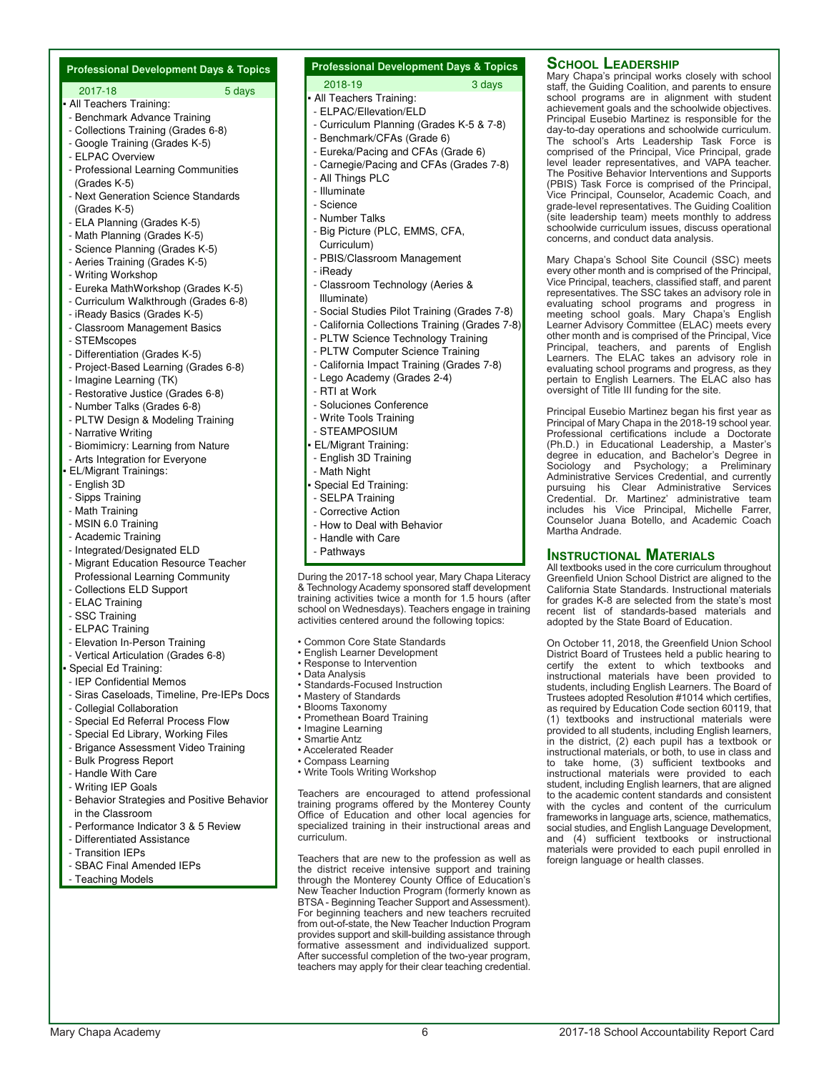| <b>Professional Development Days &amp; Topics</b>                     |
|-----------------------------------------------------------------------|
| 2017-18<br>5 days                                                     |
| • All Teachers Training:                                              |
| - Benchmark Advance Training                                          |
| - Collections Training (Grades 6-8)<br>- Google Training (Grades K-5) |
| - ELPAC Overview                                                      |
| - Professional Learning Communities                                   |
| (Grades K-5)                                                          |
| - Next Generation Science Standards                                   |
| (Grades K-5)                                                          |
| - ELA Planning (Grades K-5)<br>- Math Planning (Grades K-5)           |
| - Science Planning (Grades K-5)                                       |
| - Aeries Training (Grades K-5)                                        |
| - Writing Workshop                                                    |
| - Eureka MathWorkshop (Grades K-5)                                    |
| - Curriculum Walkthrough (Grades 6-8)                                 |
| - iReady Basics (Grades K-5)<br>- Classroom Management Basics         |
| - STEMscopes                                                          |
| - Differentiation (Grades K-5)                                        |
| - Project-Based Learning (Grades 6-8)                                 |
| - Imagine Learning (TK)                                               |
| - Restorative Justice (Grades 6-8)                                    |
| - Number Talks (Grades 6-8)                                           |
| - PLTW Design & Modeling Training<br>- Narrative Writing              |
| - Biomimicry: Learning from Nature                                    |
| - Arts Integration for Everyone                                       |
| • EL/Migrant Trainings:                                               |
| - English 3D                                                          |
| - Sipps Training                                                      |
| - Math Training<br>- MSIN 6.0 Training                                |
| - Academic Training                                                   |
| - Integrated/Designated ELD                                           |
| - Migrant Education Resource Teacher                                  |
| <b>Professional Learning Community</b>                                |
| - Collections ELD Support                                             |
| - ELAC Training<br>- SSC Training                                     |
| - ELPAC Training                                                      |
| - Elevation In-Person Training                                        |
| - Vertical Articulation (Grades 6-8)                                  |
| Special Ed Training:                                                  |
| - IEP Confidential Memos                                              |
| - Siras Caseloads, Timeline, Pre-IEPs Docs                            |
| - Collegial Collaboration<br>- Special Ed Referral Process Flow       |
| - Special Ed Library, Working Files                                   |
| - Brigance Assessment Video Training                                  |
| - Bulk Progress Report                                                |
| - Handle With Care                                                    |
| - Writing IEP Goals                                                   |
| - Behavior Strategies and Positive Behavior                           |
| in the Classroom<br>- Performance Indicator 3 & 5 Review              |
| - Differentiated Assistance                                           |
| - Transition IEPs                                                     |
| - SBAC Final Amended IEPs                                             |
| - Teaching Models                                                     |
|                                                                       |
|                                                                       |
|                                                                       |
|                                                                       |
|                                                                       |

#### **Professional Development Days & Topics**

#### 2018-19 3 days

- **All Teachers Training:** - ELPAC/Ellevation/ELD
- Curriculum Planning (Grades K-5 & 7-8)
- Benchmark/CFAs (Grade 6)
- Eureka/Pacing and CFAs (Grade 6)
- Carnegie/Pacing and CFAs (Grades 7-8)
- All Things PLC
- Illuminate
- 
- Science
- Number Talks
- Big Picture (PLC, EMMS, CFA,
- Curriculum)
- PBIS/Classroom Management
- iReady
- Classroom Technology (Aeries & Illuminate)
- Social Studies Pilot Training (Grades 7-8)
- California Collections Training (Grades 7-8)
- PLTW Science Technology Training
- PLTW Computer Science Training
- California Impact Training (Grades 7-8)
- Lego Academy (Grades 2-4)
- RTI at Work
- Soluciones Conference
- Write Tools Training
- STEAMPOSIUM
- EL/Migrant Training:
- English 3D Training
- Math Night
- Special Ed Training:
- SELPA Training
- Corrective Action
- How to Deal with Behavior
- Handle with Care
- Pathways

During the 2017-18 school year, Mary Chapa Literacy & Technology Academy sponsored staff development training activities twice a month for 1.5 hours (after school on Wednesdays). Teachers engage in training activities centered around the following topics:

- Common Core State Standards
- English Learner Development
- Response to Intervention
- Data Analysis
- Standards-Focused Instruction
- Mastery of Standards
- Blooms Taxonomy
- Promethean Board Training
- Imagine Learning
- Smartie Antz
- Accelerated Reader
- Compass Learning
- Write Tools Writing Workshop

Teachers are encouraged to attend professional training programs offered by the Monterey County Office of Education and other local agencies for specialized training in their instructional areas and curriculum.

Teachers that are new to the profession as well as the district receive intensive support and training through the Monterey County Office of Education's New Teacher Induction Program (formerly known as BTSA - Beginning Teacher Support and Assessment). For beginning teachers and new teachers recruited from out-of-state, the New Teacher Induction Program provides support and skill-building assistance through formative assessment and individualized support. After successful completion of the two-year program, teachers may apply for their clear teaching credential.

#### **School Leadership**

Mary Chapa's principal works closely with school staff, the Guiding Coalition, and parents to ensure school programs are in alignment with student achievement goals and the schoolwide objectives. Principal Eusebio Martinez is responsible for the day-to-day operations and schoolwide curriculum. The school's Arts Leadership Task Force is comprised of the Principal, Vice Principal, grade level leader representatives, and VAPA teacher. The Positive Behavior Interventions and Supports (PBIS) Task Force is comprised of the Principal, Vice Principal, Counselor, Academic Coach, and grade-level representatives. The Guiding Coalition (site leadership team) meets monthly to address schoolwide curriculum issues, discuss operational concerns, and conduct data analysis.

Mary Chapa's School Site Council (SSC) meets every other month and is comprised of the Principal, Vice Principal, teachers, classified staff, and parent representatives. The SSC takes an advisory role in evaluating school programs and progress in meeting school goals. Mary Chapa's English Learner Advisory Committee (ELAC) meets every other month and is comprised of the Principal, Vice Principal, teachers, and parents of English Learners. The ELAC takes an advisory role in evaluating school programs and progress, as they pertain to English Learners. The ELAC also has oversight of Title III funding for the site.

Principal Eusebio Martinez began his first year as Principal of Mary Chapa in the 2018-19 school year. Professional certifications include a Doctorate (Ph.D.) in Educational Leadership, a Master's degree in education, and Bachelor's Degree in Sociology and Psychology; a Preliminary Administrative Services Credential, and currently pursuing his Clear Administrative Services Credential. Dr. Martinez' administrative team includes his Vice Principal, Michelle Farrer, Counselor Juana Botello, and Academic Coach Martha Andrade.

#### **Instructional Materials**

All textbooks used in the core curriculum throughout Greenfield Union School District are aligned to the California State Standards. Instructional materials for grades K-8 are selected from the state's most recent list of standards-based materials and adopted by the State Board of Education.

On October 11, 2018, the Greenfield Union School District Board of Trustees held a public hearing to certify the extent to which textbooks and instructional materials have been provided to students, including English Learners. The Board of Trustees adopted Resolution #1014 which certifies, as required by Education Code section 60119, that (1) textbooks and instructional materials were provided to all students, including English learners, in the district, (2) each pupil has a textbook or instructional materials, or both, to use in class and to take home, (3) sufficient textbooks and instructional materials were provided to each student, including English learners, that are aligned to the academic content standards and consistent with the cycles and content of the curriculum frameworks in language arts, science, mathematics, social studies, and English Language Development, and (4) sufficient textbooks or instructional materials were provided to each pupil enrolled in foreign language or health classes.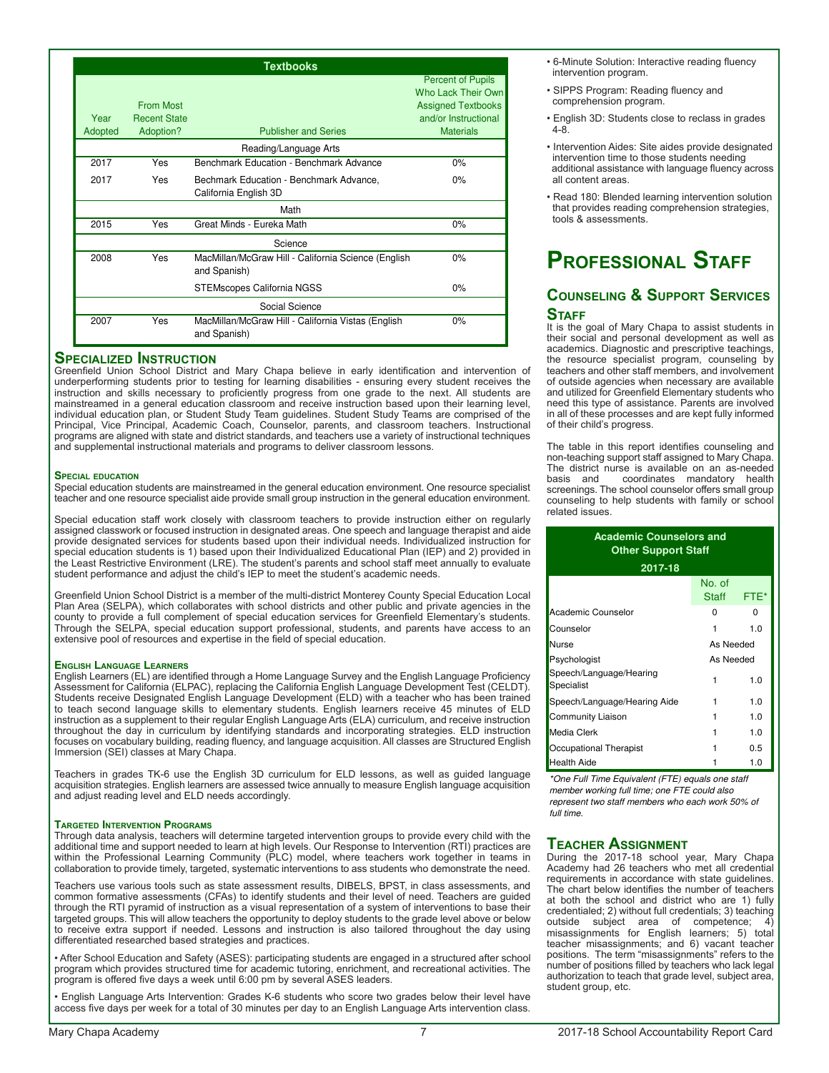| <b>Textbooks</b>                                       |                                         |                                                                     |                                                   |  |  |  |  |
|--------------------------------------------------------|-----------------------------------------|---------------------------------------------------------------------|---------------------------------------------------|--|--|--|--|
|                                                        |                                         |                                                                     | <b>Percent of Pupils</b><br>Who Lack Their Own    |  |  |  |  |
| Year                                                   | <b>From Most</b><br><b>Recent State</b> |                                                                     | <b>Assigned Textbooks</b><br>and/or Instructional |  |  |  |  |
| Adopted                                                | Adoption?                               | <b>Publisher and Series</b>                                         | <b>Materials</b>                                  |  |  |  |  |
| Reading/Language Arts                                  |                                         |                                                                     |                                                   |  |  |  |  |
| 2017<br>Benchmark Education - Benchmark Advance<br>Yes |                                         | 0%                                                                  |                                                   |  |  |  |  |
| 2017                                                   | Yes                                     | Bechmark Education - Benchmark Advance,<br>California English 3D    | $0\%$                                             |  |  |  |  |
| Math                                                   |                                         |                                                                     |                                                   |  |  |  |  |
| 2015                                                   | Yes                                     | Great Minds - Eureka Math                                           | 0%                                                |  |  |  |  |
| Science                                                |                                         |                                                                     |                                                   |  |  |  |  |
| 2008                                                   | Yes                                     | MacMillan/McGraw Hill - California Science (English<br>and Spanish) | 0%                                                |  |  |  |  |
|                                                        |                                         | STEMscopes California NGSS                                          | $0\%$                                             |  |  |  |  |
| Social Science                                         |                                         |                                                                     |                                                   |  |  |  |  |
| 2007                                                   | Yes                                     | MacMillan/McGraw Hill - California Vistas (English<br>and Spanish)  | $0\%$                                             |  |  |  |  |

#### **Specialized Instruction**

Greenfield Union School District and Mary Chapa believe in early identification and intervention of underperforming students prior to testing for learning disabilities - ensuring every student receives the instruction and skills necessary to proficiently progress from one grade to the next. All students are mainstreamed in a general education classroom and receive instruction based upon their learning level, individual education plan, or Student Study Team guidelines. Student Study Teams are comprised of the Principal, Vice Principal, Academic Coach, Counselor, parents, and classroom teachers. Instructional programs are aligned with state and district standards, and teachers use a variety of instructional techniques and supplemental instructional materials and programs to deliver classroom lessons.

#### **Special education**

Special education students are mainstreamed in the general education environment. One resource specialist teacher and one resource specialist aide provide small group instruction in the general education environment.

Special education staff work closely with classroom teachers to provide instruction either on regularly assigned classwork or focused instruction in designated areas. One speech and language therapist and aide provide designated services for students based upon their individual needs. Individualized instruction for special education students is 1) based upon their Individualized Educational Plan (IEP) and 2) provided in the Least Restrictive Environment (LRE). The student's parents and school staff meet annually to evaluate student performance and adjust the child's IEP to meet the student's academic needs.

Greenfield Union School District is a member of the multi-district Monterey County Special Education Local Plan Area (SELPA), which collaborates with school districts and other public and private agencies in the county to provide a full complement of special education services for Greenfield Elementary's students. Through the SELPA, special education support professional, students, and parents have access to an extensive pool of resources and expertise in the field of special education.

#### **English Language Learners**

English Learners (EL) are identified through a Home Language Survey and the English Language Proficiency Assessment for California (ELPAC), replacing the California English Language Development Test (CELDT). Students receive Designated English Language Development (ELD) with a teacher who has been trained to teach second language skills to elementary students. English learners receive 45 minutes of ELD instruction as a supplement to their regular English Language Arts (ELA) curriculum, and receive instruction throughout the day in curriculum by identifying standards and incorporating strategies. ELD instruction focuses on vocabulary building, reading fluency, and language acquisition. All classes are Structured English Immersion (SEI) classes at Mary Chapa.

Teachers in grades TK-6 use the English 3D curriculum for ELD lessons, as well as guided language acquisition strategies. English learners are assessed twice annually to measure English language acquisition and adjust reading level and ELD needs accordingly.

#### **Targeted Intervention Programs**

Through data analysis, teachers will determine targeted intervention groups to provide every child with the additional time and support needed to learn at high levels. Our Response to Intervention (RTI) practices are within the Professional Learning Community (PLC) model, where teachers work together in teams in collaboration to provide timely, targeted, systematic interventions to ass students who demonstrate the need.

Teachers use various tools such as state assessment results, DIBELS, BPST, in class assessments, and common formative assessments (CFAs) to identify students and their level of need. Teachers are guided through the RTI pyramid of instruction as a visual representation of a system of interventions to base their targeted groups. This will allow teachers the opportunity to deploy students to the grade level above or below to receive extra support if needed. Lessons and instruction is also tailored throughout the day using differentiated researched based strategies and practices.

• After School Education and Safety (ASES): participating students are engaged in a structured after school program which provides structured time for academic tutoring, enrichment, and recreational activities. The program is offered five days a week until 6:00 pm by several ASES leaders.

• English Language Arts Intervention: Grades K-6 students who score two grades below their level have access five days per week for a total of 30 minutes per day to an English Language Arts intervention class.

- 6-Minute Solution: Interactive reading fluency intervention program.
- SIPPS Program: Reading fluency and comprehension program.
- English 3D: Students close to reclass in grades 4-8.
- Intervention Aides: Site aides provide designated intervention time to those students needing additional assistance with language fluency across all content areas.
- Read 180: Blended learning intervention solution that provides reading comprehension strategies, tools & assessments.

### **Professional Staff**

#### **Counseling & Support Services STAFF**

It is the goal of Mary Chapa to assist students in their social and personal development as well as academics. Diagnostic and prescriptive teachings, the resource specialist program, counseling by teachers and other staff members, and involvement of outside agencies when necessary are available and utilized for Greenfield Elementary students who need this type of assistance. Parents are involved in all of these processes and are kept fully informed of their child's progress.

The table in this report identifies counseling and non-teaching support staff assigned to Mary Chapa. The district nurse is available on an as-needed<br>basis and coordinates mandatory health coordinates mandatory health screenings. The school counselor offers small group counseling to help students with family or school related issues.

| <b>Academic Counselors and</b><br><b>Other Support Staff</b> |                 |      |  |  |  |
|--------------------------------------------------------------|-----------------|------|--|--|--|
| 2017-18                                                      |                 |      |  |  |  |
|                                                              | No. of<br>Staff | FTE* |  |  |  |
| Academic Counselor                                           | 0               | 0    |  |  |  |
| Counselor                                                    | 1               | 1.0  |  |  |  |
| Nurse                                                        | As Needed       |      |  |  |  |
| Psychologist                                                 | As Needed       |      |  |  |  |
| Speech/Language/Hearing<br>Specialist                        | 1               | 1.0  |  |  |  |
| Speech/Language/Hearing Aide                                 | 1               | 1.0  |  |  |  |
| Community Liaison                                            | 1               | 1.0  |  |  |  |
| Media Clerk                                                  | 1               | 1.0  |  |  |  |
| Occupational Therapist                                       | 1               | 0.5  |  |  |  |
| Health Aide                                                  | 1               |      |  |  |  |

\*One Full Time Equivalent (FTE) equals one staff member working full time; one FTE could also represent two staff members who each work 50% of full time.

#### **Teacher Assignment**

During the 2017-18 school year, Mary Chapa Academy had 26 teachers who met all credential requirements in accordance with state guidelines. The chart below identifies the number of teachers at both the school and district who are 1) fully credentialed; 2) without full credentials; 3) teaching outside subject area of competence; 4) misassignments for English learners; 5) total teacher misassignments; and 6) vacant teacher positions. The term "misassignments" refers to the number of positions filled by teachers who lack legal authorization to teach that grade level, subject area, student group, etc.